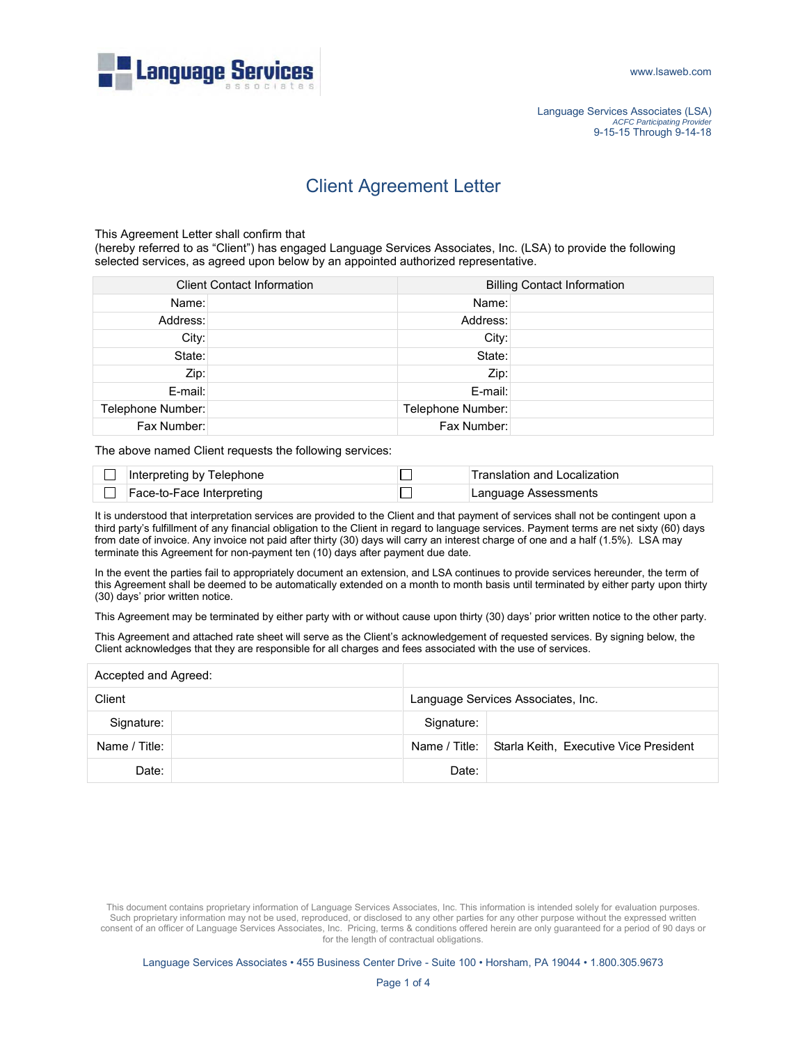

## Client Agreement Letter

This Agreement Letter shall confirm that

(hereby referred to as "Client") has engaged Language Services Associates, Inc. (LSA) to provide the following selected services, as agreed upon below by an appointed authorized representative.

| <b>Client Contact Information</b> |  | <b>Billing Contact Information</b> |  |
|-----------------------------------|--|------------------------------------|--|
| Name:                             |  | Name:                              |  |
| Address:                          |  | Address:                           |  |
| City:                             |  | City:                              |  |
| State:                            |  | State:                             |  |
| Zip:                              |  | Zip:                               |  |
| $E$ -mail:                        |  | E-mail:                            |  |
| Telephone Number:                 |  | Telephone Number:                  |  |
| Fax Number:                       |  | Fax Number:                        |  |

The above named Client requests the following services:

| Interpreting by Telephone | Translation and Localization |
|---------------------------|------------------------------|
| Face-to-Face Interpreting | Language Assessments         |

It is understood that interpretation services are provided to the Client and that payment of services shall not be contingent upon a third party's fulfillment of any financial obligation to the Client in regard to language services. Payment terms are net sixty (60) days from date of invoice. Any invoice not paid after thirty (30) days will carry an interest charge of one and a half (1.5%). LSA may terminate this Agreement for non-payment ten (10) days after payment due date.

In the event the parties fail to appropriately document an extension, and LSA continues to provide services hereunder, the term of this Agreement shall be deemed to be automatically extended on a month to month basis until terminated by either party upon thirty (30) days' prior written notice.

This Agreement may be terminated by either party with or without cause upon thirty (30) days' prior written notice to the other party.

This Agreement and attached rate sheet will serve as the Client's acknowledgement of requested services. By signing below, the Client acknowledges that they are responsible for all charges and fees associated with the use of services.

| Accepted and Agreed: |  |                                    |                                                        |
|----------------------|--|------------------------------------|--------------------------------------------------------|
| Client               |  | Language Services Associates, Inc. |                                                        |
| Signature:           |  | Signature:                         |                                                        |
| Name / Title:        |  |                                    | Name / Title:   Starla Keith, Executive Vice President |
| Date:                |  | Date:                              |                                                        |

This document contains proprietary information of Language Services Associates, Inc. This information is intended solely for evaluation purposes. Such proprietary information may not be used, reproduced, or disclosed to any other parties for any other purpose without the expressed written consent of an officer of Language Services Associates, Inc. Pricing, terms & conditions offered herein are only guaranteed for a period of 90 days or for the length of contractual obligations.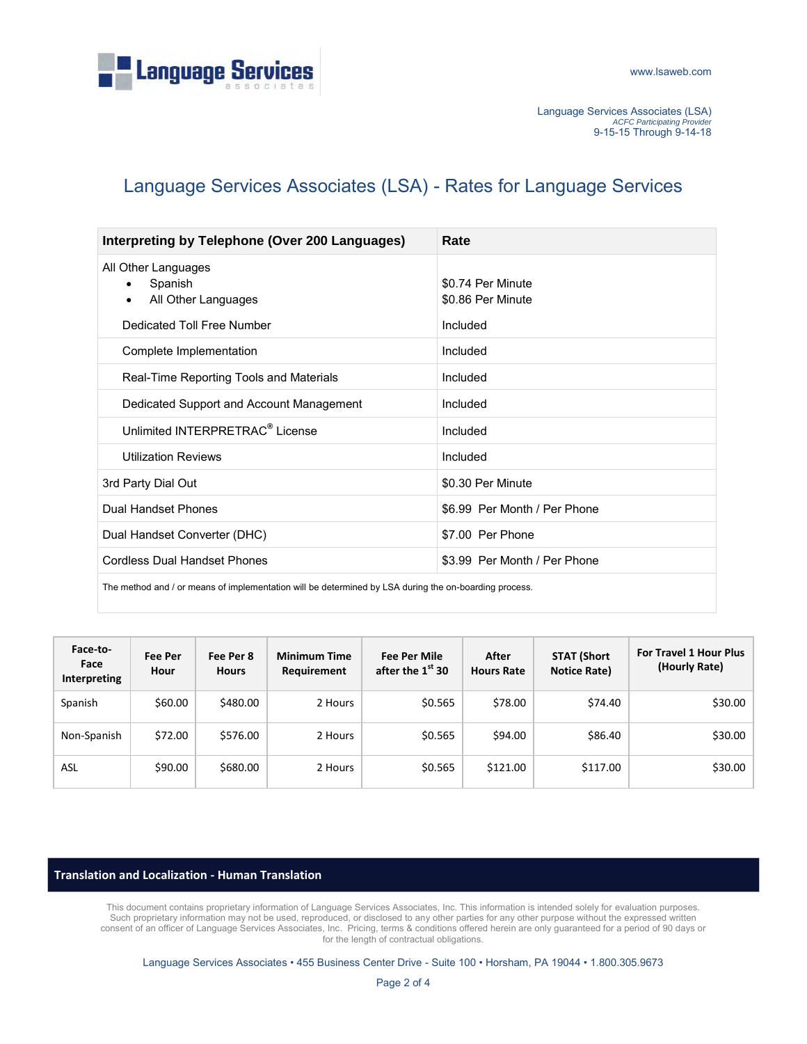

Language Services Associates (LSA) *ACFC Participating Provider* 9-15-15 Through 9-14-18

## Language Services Associates (LSA) - Rates for Language Services

| Interpreting by Telephone (Over 200 Languages)                                                        | Rate                                   |  |
|-------------------------------------------------------------------------------------------------------|----------------------------------------|--|
| All Other Languages<br>Spanish<br>$\bullet$<br>All Other Languages<br>$\bullet$                       | \$0.74 Per Minute<br>\$0.86 Per Minute |  |
| Dedicated Toll Free Number                                                                            | Included                               |  |
| Complete Implementation                                                                               | Included                               |  |
| Real-Time Reporting Tools and Materials                                                               | Included                               |  |
| Dedicated Support and Account Management                                                              | Included                               |  |
| Unlimited INTERPRETRAC <sup>®</sup> License                                                           | Included                               |  |
| <b>Utilization Reviews</b>                                                                            | Included                               |  |
| 3rd Party Dial Out                                                                                    | \$0.30 Per Minute                      |  |
| Dual Handset Phones                                                                                   | \$6.99 Per Month / Per Phone           |  |
| Dual Handset Converter (DHC)                                                                          | \$7.00 Per Phone                       |  |
| <b>Cordless Dual Handset Phones</b>                                                                   | \$3.99 Per Month / Per Phone           |  |
| The method and / or means of implementation will be determined by LSA during the on-boarding process. |                                        |  |

| Face-to-<br>Face<br>Interpreting | Fee Per<br>Hour | Fee Per 8<br><b>Hours</b> | <b>Minimum Time</b><br>Requirement | <b>Fee Per Mile</b><br>after the $1st$ 30 | After<br><b>Hours Rate</b> | <b>STAT (Short</b><br>Notice Rate) | For Travel 1 Hour Plus<br>(Hourly Rate) |
|----------------------------------|-----------------|---------------------------|------------------------------------|-------------------------------------------|----------------------------|------------------------------------|-----------------------------------------|
| Spanish                          | \$60.00         | \$480.00                  | 2 Hours                            | \$0.565                                   | \$78.00                    | \$74.40                            | \$30.00                                 |
| Non-Spanish                      | \$72.00         | \$576.00                  | 2 Hours                            | \$0.565                                   | \$94.00                    | \$86.40                            | \$30.00                                 |
| ASL                              | \$90.00         | \$680.00                  | 2 Hours                            | \$0.565                                   | \$121.00                   | \$117.00                           | \$30.00                                 |

## **Translation and Localization - Human Translation**

This document contains proprietary information of Language Services Associates, Inc. This information is intended solely for evaluation purposes. Such proprietary information may not be used, reproduced, or disclosed to any other parties for any other purpose without the expressed written consent of an officer of Language Services Associates, Inc. Pricing, terms & conditions offered herein are only guaranteed for a period of 90 days or for the length of contractual obligations.

Language Services Associates • 455 Business Center Drive - Suite 100 • Horsham, PA 19044 • 1.800.305.9673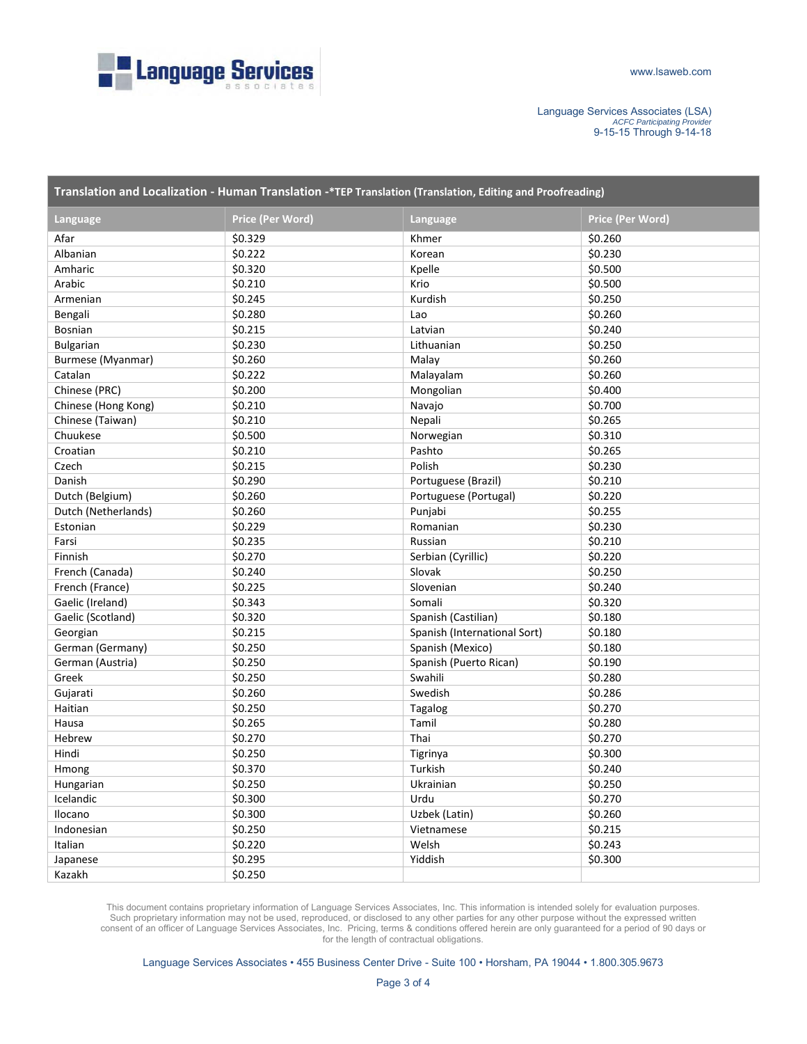

Language Services Associates (LSA) *ACFC Participating Provider* 9-15-15 Through 9-14-18

| Translation and Localization - Human Translation -*TEP Translation (Translation, Editing and Proofreading) |                  |                              |                  |  |
|------------------------------------------------------------------------------------------------------------|------------------|------------------------------|------------------|--|
| Language                                                                                                   | Price (Per Word) | Language                     | Price (Per Word) |  |
| Afar                                                                                                       | \$0.329          | Khmer                        | \$0.260          |  |
| Albanian                                                                                                   | \$0.222          | Korean                       | \$0.230          |  |
| Amharic                                                                                                    | \$0.320          | Kpelle                       | \$0.500          |  |
| Arabic                                                                                                     | \$0.210          | Krio                         | \$0.500          |  |
| Armenian                                                                                                   | \$0.245          | Kurdish                      | \$0.250          |  |
| Bengali                                                                                                    | \$0.280          | Lao                          | \$0.260          |  |
| Bosnian                                                                                                    | \$0.215          | Latvian                      | \$0.240          |  |
| <b>Bulgarian</b>                                                                                           | \$0.230          | Lithuanian                   | \$0.250          |  |
| Burmese (Myanmar)                                                                                          | \$0.260          | Malay                        | \$0.260          |  |
| Catalan                                                                                                    | \$0.222          | Malayalam                    | \$0.260          |  |
| Chinese (PRC)                                                                                              | \$0.200          | Mongolian                    | \$0.400          |  |
| Chinese (Hong Kong)                                                                                        | \$0.210          | Navajo                       | \$0.700          |  |
| Chinese (Taiwan)                                                                                           | \$0.210          | Nepali                       | \$0.265          |  |
| Chuukese                                                                                                   | \$0.500          | Norwegian                    | \$0.310          |  |
| Croatian                                                                                                   | \$0.210          | Pashto                       | \$0.265          |  |
| Czech                                                                                                      | \$0.215          | Polish                       | \$0.230          |  |
| Danish                                                                                                     | \$0.290          | Portuguese (Brazil)          | \$0.210          |  |
| Dutch (Belgium)                                                                                            | \$0.260          | Portuguese (Portugal)        | \$0.220          |  |
| Dutch (Netherlands)                                                                                        | \$0.260          | Punjabi                      | \$0.255          |  |
| Estonian                                                                                                   | \$0.229          | Romanian                     | \$0.230          |  |
| Farsi                                                                                                      | \$0.235          | Russian                      | \$0.210          |  |
| Finnish                                                                                                    | \$0.270          | Serbian (Cyrillic)           | \$0.220          |  |
| French (Canada)                                                                                            | \$0.240          | Slovak                       | \$0.250          |  |
| French (France)                                                                                            | \$0.225          | Slovenian                    | \$0.240          |  |
| Gaelic (Ireland)                                                                                           | \$0.343          | Somali                       | \$0.320          |  |
| Gaelic (Scotland)                                                                                          | \$0.320          | Spanish (Castilian)          | \$0.180          |  |
| Georgian                                                                                                   | \$0.215          | Spanish (International Sort) | \$0.180          |  |
| German (Germany)                                                                                           | \$0.250          | Spanish (Mexico)             | \$0.180          |  |
| German (Austria)                                                                                           | \$0.250          | Spanish (Puerto Rican)       | \$0.190          |  |
| Greek                                                                                                      | \$0.250          | Swahili                      | \$0.280          |  |
| Gujarati                                                                                                   | \$0.260          | Swedish                      | \$0.286          |  |
| Haitian                                                                                                    | \$0.250          | Tagalog                      | \$0.270          |  |
| Hausa                                                                                                      | \$0.265          | Tamil                        | \$0.280          |  |
| Hebrew                                                                                                     | \$0.270          | Thai                         | \$0.270          |  |
| Hindi                                                                                                      | \$0.250          | Tigrinya                     | \$0.300          |  |
| Hmong                                                                                                      | \$0.370          | Turkish                      | \$0.240          |  |
| Hungarian                                                                                                  | \$0.250          | Ukrainian                    | \$0.250          |  |
| Icelandic                                                                                                  | \$0.300          | Urdu                         | \$0.270          |  |
| Ilocano                                                                                                    | \$0.300          | Uzbek (Latin)                | \$0.260          |  |
| Indonesian                                                                                                 | \$0.250          | Vietnamese                   | \$0.215          |  |
| Italian                                                                                                    | \$0.220          | Welsh                        | \$0.243          |  |
| Japanese                                                                                                   | \$0.295          | Yiddish                      | \$0.300          |  |
| Kazakh                                                                                                     | \$0.250          |                              |                  |  |

This document contains proprietary information of Language Services Associates, Inc. This information is intended solely for evaluation purposes. Such proprietary information may not be used, reproduced, or disclosed to any other parties for any other purpose without the expressed written consent of an officer of Language Services Associates, Inc. Pricing, terms & conditions offered herein are only guaranteed for a period of 90 days or for the length of contractual obligations.